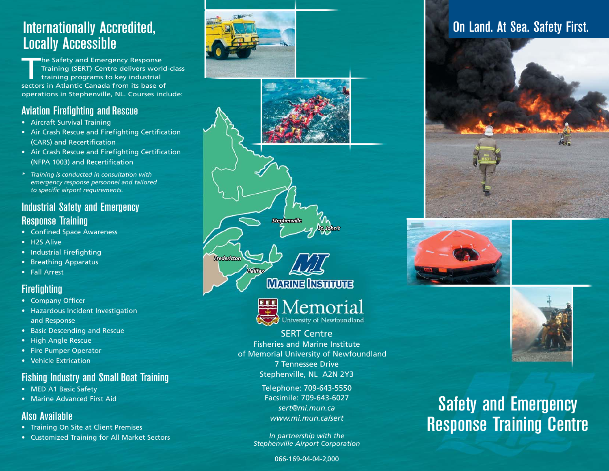## Internationally Accredited, Locally Accessible

The Safety and Emergency Response<br>Training (SERT) Centre delivers world-class<br>training programs to key industrial sectors in Atlantic Canada from its base of operations in Stephenville, NL. Courses include:

#### Aviation Firefighting and Rescue

- Aircraft Survival Training
- Air Crash Rescue and Firefighting Certification (CARS) and Recertification
- Air Crash Rescue and Firefighting Certification (NFPA 1003) and Recertification
- *\* Training is conducted in consultation with emergency response personnel and tailored to specific airport requirements.*

#### Industrial Safety and Emergency

#### Response Training

- Confined Space Awareness
- H2S Alive
- Industrial Firefighting
- Breathing Apparatus
- Fall Arrest

#### **Firefighting**

- Company Officer
- Hazardous Incident Investigation and Response
- Basic Descending and Rescue
- High Angle Rescue
- Fire Pumper Operator
- Vehicle Extrication

#### Fishing Industry and Small Boat Training

- MED A1 Basic Safety
- Marine Advanced First Aid

#### Also Available

- Training On Site at Client Premises
- Customized Training for All Market Sectors





### On Land. At Sea. Safety First.







# Safety and Emergency **Response Training Centre**

066-169-04-04-2,000

*In partnership with the Stephenville Airport Corporation*

SERT Centre Fisheries and Marine Institute of Memorial University of Newfoundland 7 Tennessee Drive Stephenville, NL A2N 2Y3 Telephone: 709-643-5550 Facsimile: 709-643-6027 *sert@mi.mun.ca www.mi.mun.ca/sert*

**MARINE INSTITUTE** 

Memorial University of Newfoundland